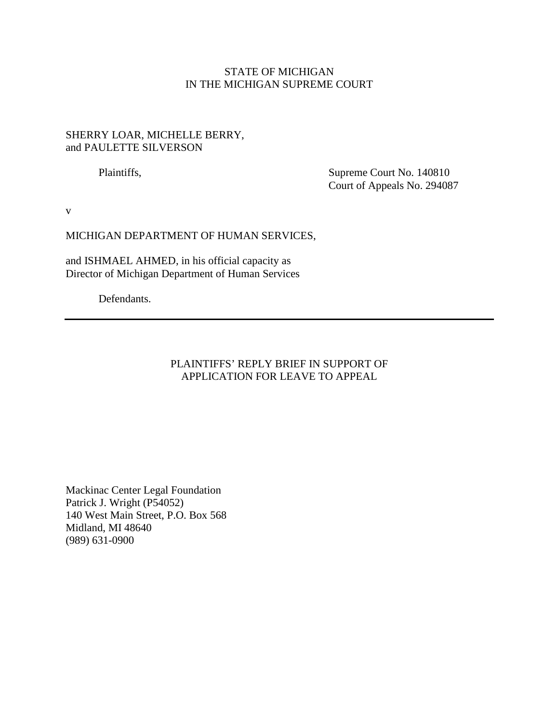## STATE OF MICHIGAN IN THE MICHIGAN SUPREME COURT

### SHERRY LOAR, MICHELLE BERRY, and PAULETTE SILVERSON

Plaintiffs, Supreme Court No. 140810 Court of Appeals No. 294087

v

#### MICHIGAN DEPARTMENT OF HUMAN SERVICES,

and ISHMAEL AHMED, in his official capacity as Director of Michigan Department of Human Services

Defendants.

### PLAINTIFFS' REPLY BRIEF IN SUPPORT OF APPLICATION FOR LEAVE TO APPEAL

Mackinac Center Legal Foundation Patrick J. Wright (P54052) 140 West Main Street, P.O. Box 568 Midland, MI 48640 (989) 631-0900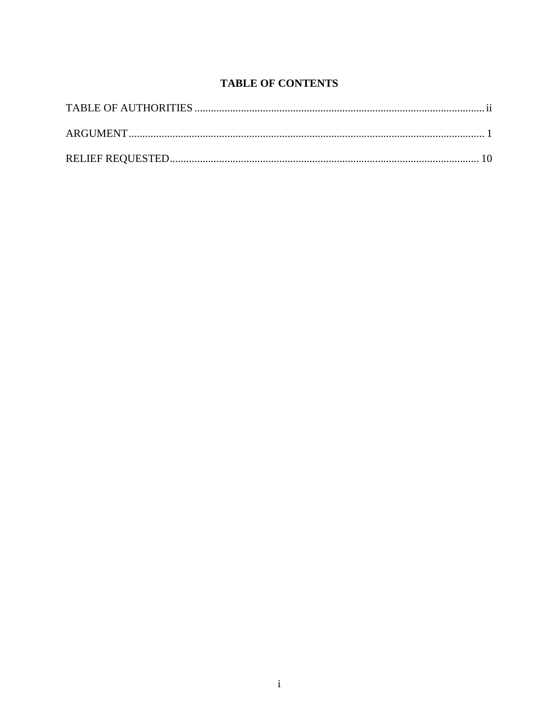# **TABLE OF CONTENTS**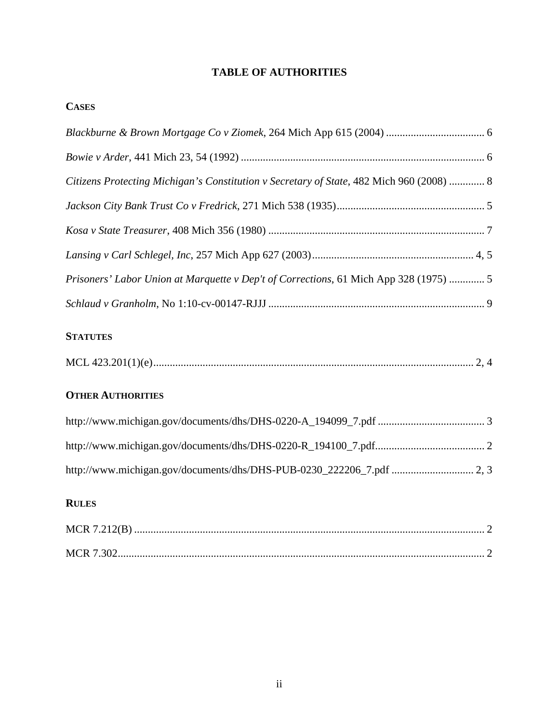# **TABLE OF AUTHORITIES**

## **CASES**

| Citizens Protecting Michigan's Constitution v Secretary of State, 482 Mich 960 (2008)  8 |
|------------------------------------------------------------------------------------------|
|                                                                                          |
|                                                                                          |
|                                                                                          |
| Prisoners' Labor Union at Marquette v Dep't of Corrections, 61 Mich App 328 (1975)  5    |
|                                                                                          |
|                                                                                          |

## **STATUTES**

|--|

# **OTHER AUTHORITIES**

# **RULES**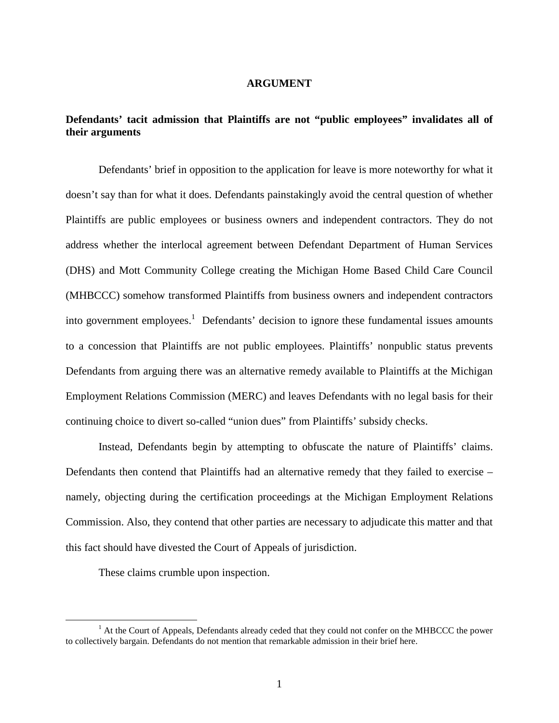#### **ARGUMENT**

### **Defendants' tacit admission that Plaintiffs are not "public employees" invalidates all of their arguments**

Defendants' brief in opposition to the application for leave is more noteworthy for what it doesn't say than for what it does. Defendants painstakingly avoid the central question of whether Plaintiffs are public employees or business owners and independent contractors. They do not address whether the interlocal agreement between Defendant Department of Human Services (DHS) and Mott Community College creating the Michigan Home Based Child Care Council (MHBCCC) somehow transformed Plaintiffs from business owners and independent contractors into government employees.<sup>1</sup> Defendants' decision to ignore these fundamental issues amounts to a concession that Plaintiffs are not public employees. Plaintiffs' nonpublic status prevents Defendants from arguing there was an alternative remedy available to Plaintiffs at the Michigan Employment Relations Commission (MERC) and leaves Defendants with no legal basis for their continuing choice to divert so-called "union dues" from Plaintiffs' subsidy checks.

Instead, Defendants begin by attempting to obfuscate the nature of Plaintiffs' claims. Defendants then contend that Plaintiffs had an alternative remedy that they failed to exercise – namely, objecting during the certification proceedings at the Michigan Employment Relations Commission. Also, they contend that other parties are necessary to adjudicate this matter and that this fact should have divested the Court of Appeals of jurisdiction.

These claims crumble upon inspection.

 $\overline{a}$ 

<sup>&</sup>lt;sup>1</sup> At the Court of Appeals, Defendants already ceded that they could not confer on the MHBCCC the power to collectively bargain. Defendants do not mention that remarkable admission in their brief here.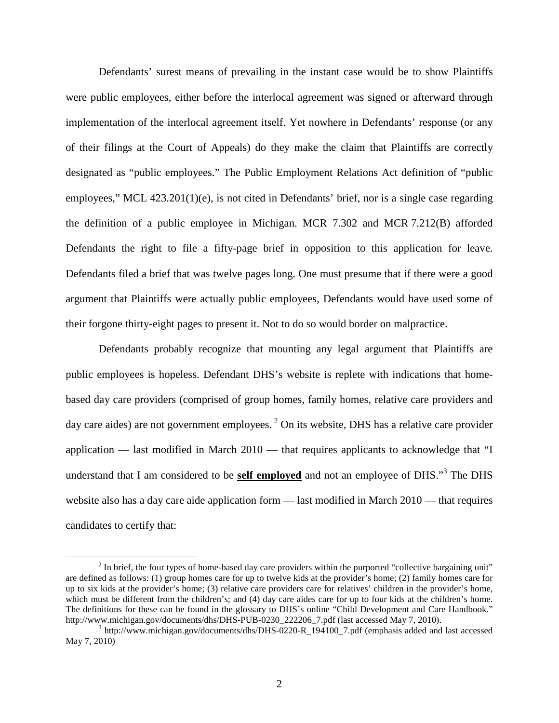Defendants' surest means of prevailing in the instant case would be to show Plaintiffs were public employees, either before the interlocal agreement was signed or afterward through implementation of the interlocal agreement itself. Yet nowhere in Defendants' response (or any of their filings at the Court of Appeals) do they make the claim that Plaintiffs are correctly designated as "public employees." The Public Employment Relations Act definition of "public employees," MCL 423.201(1)(e), is not cited in Defendants' brief, nor is a single case regarding the definition of a public employee in Michigan. MCR 7.302 and MCR 7.212(B) afforded Defendants the right to file a fifty-page brief in opposition to this application for leave. Defendants filed a brief that was twelve pages long. One must presume that if there were a good argument that Plaintiffs were actually public employees, Defendants would have used some of their forgone thirty-eight pages to present it. Not to do so would border on malpractice.

Defendants probably recognize that mounting any legal argument that Plaintiffs are public employees is hopeless. Defendant DHS's website is replete with indications that homebased day care providers (comprised of group homes, family homes, relative care providers and day care aides) are not government employees.<sup>2</sup> On its website, DHS has a relative care provider application — last modified in March 2010 — that requires applicants to acknowledge that "I understand that I am considered to be **self employed** and not an employee of DHS."<sup>3</sup> The DHS website also has a day care aide application form — last modified in March 2010 — that requires candidates to certify that:

<u>.</u>

 $2<sup>2</sup>$  In brief, the four types of home-based day care providers within the purported "collective bargaining unit" are defined as follows: (1) group homes care for up to twelve kids at the provider's home; (2) family homes care for up to six kids at the provider's home; (3) relative care providers care for relatives' children in the provider's home, which must be different from the children's; and (4) day care aides care for up to four kids at the children's home. The definitions for these can be found in the glossary to DHS's online "Child Development and Care Handbook." http://www.michigan.gov/documents/dhs/DHS-PUB-0230\_222206\_7.pdf (last accessed May 7, 2010).

<sup>&</sup>lt;sup>3</sup> http://www.michigan.gov/documents/dhs/DHS-0220-R\_194100\_7.pdf (emphasis added and last accessed May 7, 2010)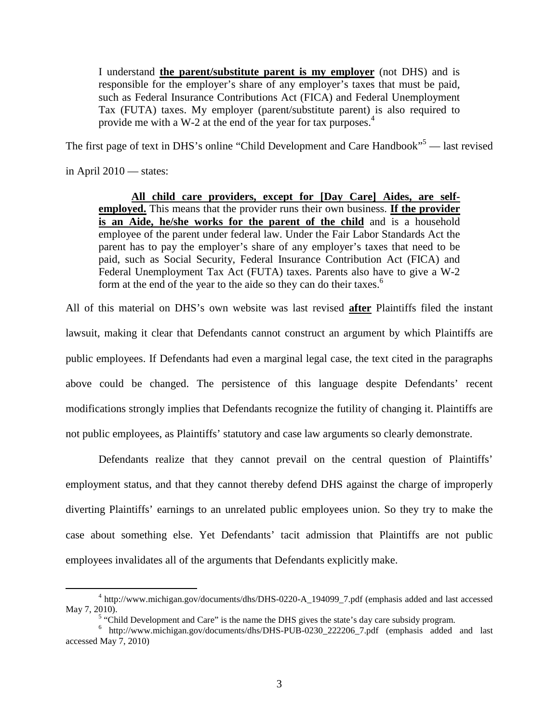I understand **the parent/substitute parent is my employer** (not DHS) and is responsible for the employer's share of any employer's taxes that must be paid, such as Federal Insurance Contributions Act (FICA) and Federal Unemployment Tax (FUTA) taxes. My employer (parent/substitute parent) is also required to provide me with a W-2 at the end of the year for tax purposes. 4

The first page of text in DHS's online "Child Development and Care Handbook"<sup>5</sup> — last revised

in April 2010 — states:

<u>.</u>

**All child care providers, except for [Day Care] Aides, are selfemployed.** This means that the provider runs their own business. **If the provider is an Aide, he/she works for the parent of the child** and is a household employee of the parent under federal law. Under the Fair Labor Standards Act the parent has to pay the employer's share of any employer's taxes that need to be paid, such as Social Security, Federal Insurance Contribution Act (FICA) and Federal Unemployment Tax Act (FUTA) taxes. Parents also have to give a W-2 form at the end of the year to the aide so they can do their taxes.<sup>6</sup>

All of this material on DHS's own website was last revised **after** Plaintiffs filed the instant lawsuit, making it clear that Defendants cannot construct an argument by which Plaintiffs are public employees. If Defendants had even a marginal legal case, the text cited in the paragraphs above could be changed. The persistence of this language despite Defendants' recent modifications strongly implies that Defendants recognize the futility of changing it. Plaintiffs are not public employees, as Plaintiffs' statutory and case law arguments so clearly demonstrate.

 Defendants realize that they cannot prevail on the central question of Plaintiffs' employment status, and that they cannot thereby defend DHS against the charge of improperly diverting Plaintiffs' earnings to an unrelated public employees union. So they try to make the case about something else. Yet Defendants' tacit admission that Plaintiffs are not public employees invalidates all of the arguments that Defendants explicitly make.

<sup>&</sup>lt;sup>4</sup> http://www.michigan.gov/documents/dhs/DHS-0220-A\_194099\_7.pdf (emphasis added and last accessed May 7, 2010).

 $<sup>5</sup>$  "Child Development and Care" is the name the DHS gives the state's day care subsidy program.</sup>

<sup>6</sup> http://www.michigan.gov/documents/dhs/DHS-PUB-0230\_222206\_7.pdf (emphasis added and last accessed May 7, 2010)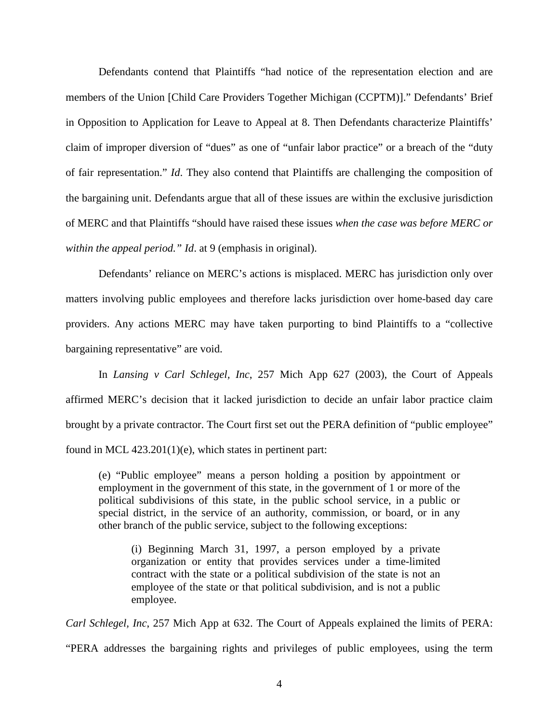Defendants contend that Plaintiffs "had notice of the representation election and are members of the Union [Child Care Providers Together Michigan (CCPTM)]." Defendants' Brief in Opposition to Application for Leave to Appeal at 8. Then Defendants characterize Plaintiffs' claim of improper diversion of "dues" as one of "unfair labor practice" or a breach of the "duty of fair representation." *Id*. They also contend that Plaintiffs are challenging the composition of the bargaining unit. Defendants argue that all of these issues are within the exclusive jurisdiction of MERC and that Plaintiffs "should have raised these issues *when the case was before MERC or within the appeal period." Id*. at 9 (emphasis in original).

 Defendants' reliance on MERC's actions is misplaced. MERC has jurisdiction only over matters involving public employees and therefore lacks jurisdiction over home-based day care providers. Any actions MERC may have taken purporting to bind Plaintiffs to a "collective bargaining representative" are void.

 In *Lansing v Carl Schlegel, Inc*, 257 Mich App 627 (2003), the Court of Appeals affirmed MERC's decision that it lacked jurisdiction to decide an unfair labor practice claim brought by a private contractor. The Court first set out the PERA definition of "public employee" found in MCL 423.201(1)(e), which states in pertinent part:

(e) "Public employee" means a person holding a position by appointment or employment in the government of this state, in the government of 1 or more of the political subdivisions of this state, in the public school service, in a public or special district, in the service of an authority, commission, or board, or in any other branch of the public service, subject to the following exceptions:

(i) Beginning March 31, 1997, a person employed by a private organization or entity that provides services under a time-limited contract with the state or a political subdivision of the state is not an employee of the state or that political subdivision, and is not a public employee.

*Carl Schlegel, Inc*, 257 Mich App at 632. The Court of Appeals explained the limits of PERA: "PERA addresses the bargaining rights and privileges of public employees, using the term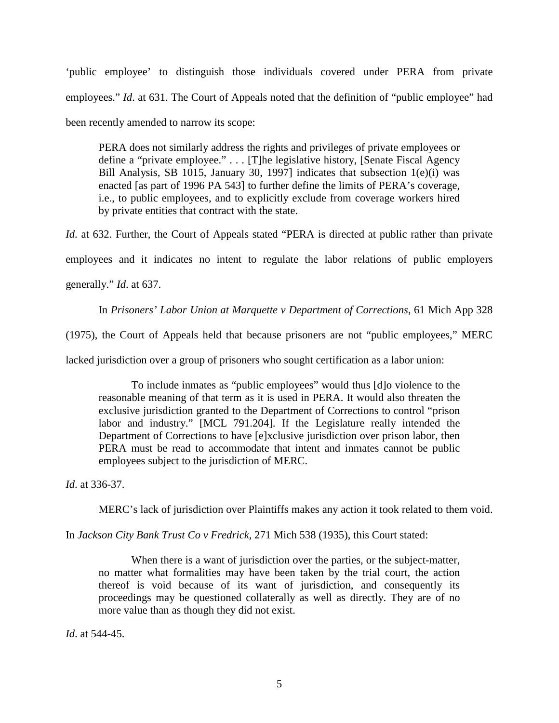'public employee' to distinguish those individuals covered under PERA from private employees." *Id.* at 631. The Court of Appeals noted that the definition of "public employee" had been recently amended to narrow its scope:

PERA does not similarly address the rights and privileges of private employees or define a "private employee." . . . [T]he legislative history, [Senate Fiscal Agency Bill Analysis, SB 1015, January 30, 1997] indicates that subsection 1(e)(i) was enacted [as part of 1996 PA 543] to further define the limits of PERA's coverage, i.e., to public employees, and to explicitly exclude from coverage workers hired by private entities that contract with the state.

*Id.* at 632. Further, the Court of Appeals stated "PERA is directed at public rather than private employees and it indicates no intent to regulate the labor relations of public employers generally." *Id*. at 637.

In *Prisoners' Labor Union at Marquette v Department of Corrections*, 61 Mich App 328

(1975), the Court of Appeals held that because prisoners are not "public employees," MERC

lacked jurisdiction over a group of prisoners who sought certification as a labor union:

To include inmates as "public employees" would thus [d]o violence to the reasonable meaning of that term as it is used in PERA. It would also threaten the exclusive jurisdiction granted to the Department of Corrections to control "prison labor and industry." [MCL 791.204]. If the Legislature really intended the Department of Corrections to have [e]xclusive jurisdiction over prison labor, then PERA must be read to accommodate that intent and inmates cannot be public employees subject to the jurisdiction of MERC.

*Id*. at 336-37.

MERC's lack of jurisdiction over Plaintiffs makes any action it took related to them void.

In *Jackson City Bank Trust Co v Fredrick*, 271 Mich 538 (1935), this Court stated:

When there is a want of jurisdiction over the parties, or the subject-matter, no matter what formalities may have been taken by the trial court, the action thereof is void because of its want of jurisdiction, and consequently its proceedings may be questioned collaterally as well as directly. They are of no more value than as though they did not exist.

*Id*. at 544-45.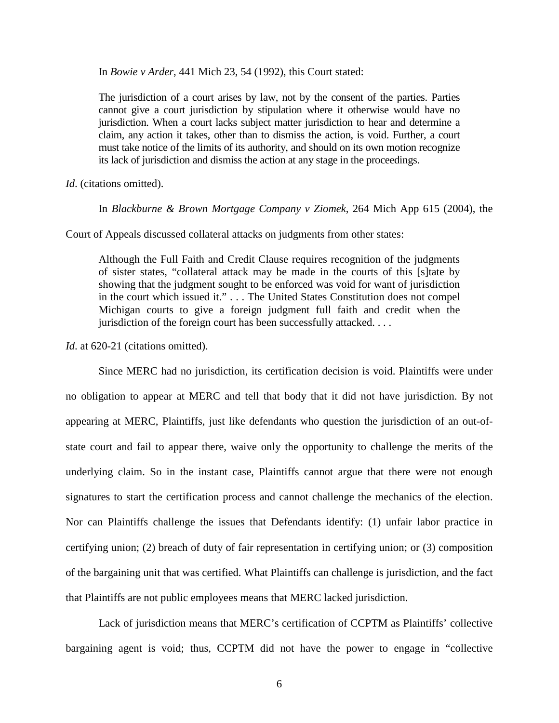In *Bowie v Arder*, 441 Mich 23, 54 (1992), this Court stated:

The jurisdiction of a court arises by law, not by the consent of the parties. Parties cannot give a court jurisdiction by stipulation where it otherwise would have no jurisdiction. When a court lacks subject matter jurisdiction to hear and determine a claim, any action it takes, other than to dismiss the action, is void. Further, a court must take notice of the limits of its authority, and should on its own motion recognize its lack of jurisdiction and dismiss the action at any stage in the proceedings.

*Id*. (citations omitted).

In *Blackburne & Brown Mortgage Company v Ziomek*, 264 Mich App 615 (2004), the

Court of Appeals discussed collateral attacks on judgments from other states:

Although the Full Faith and Credit Clause requires recognition of the judgments of sister states, "collateral attack may be made in the courts of this [s]tate by showing that the judgment sought to be enforced was void for want of jurisdiction in the court which issued it." . . . The United States Constitution does not compel Michigan courts to give a foreign judgment full faith and credit when the jurisdiction of the foreign court has been successfully attacked. . . .

*Id.* at 620-21 (citations omitted).

Since MERC had no jurisdiction, its certification decision is void. Plaintiffs were under no obligation to appear at MERC and tell that body that it did not have jurisdiction. By not appearing at MERC, Plaintiffs, just like defendants who question the jurisdiction of an out-ofstate court and fail to appear there, waive only the opportunity to challenge the merits of the underlying claim. So in the instant case, Plaintiffs cannot argue that there were not enough signatures to start the certification process and cannot challenge the mechanics of the election. Nor can Plaintiffs challenge the issues that Defendants identify: (1) unfair labor practice in certifying union; (2) breach of duty of fair representation in certifying union; or (3) composition of the bargaining unit that was certified. What Plaintiffs can challenge is jurisdiction, and the fact that Plaintiffs are not public employees means that MERC lacked jurisdiction.

Lack of jurisdiction means that MERC's certification of CCPTM as Plaintiffs' collective bargaining agent is void; thus, CCPTM did not have the power to engage in "collective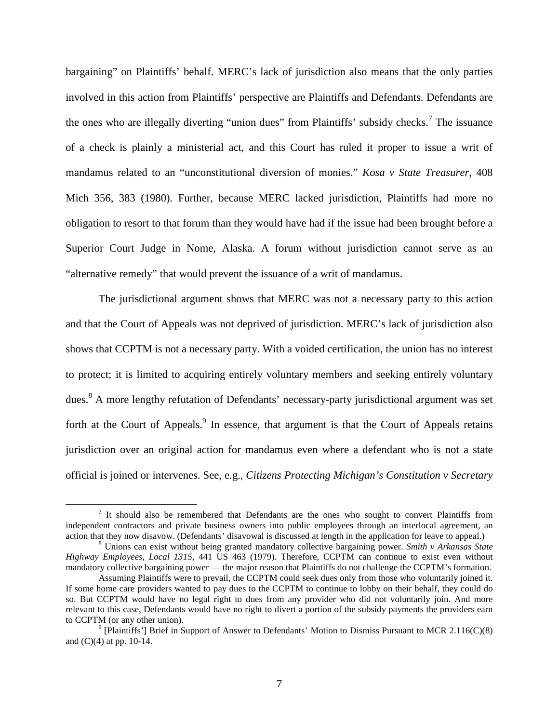bargaining" on Plaintiffs' behalf. MERC's lack of jurisdiction also means that the only parties involved in this action from Plaintiffs' perspective are Plaintiffs and Defendants. Defendants are the ones who are illegally diverting "union dues" from Plaintiffs' subsidy checks.<sup>7</sup> The issuance of a check is plainly a ministerial act, and this Court has ruled it proper to issue a writ of mandamus related to an "unconstitutional diversion of monies." *Kosa v State Treasurer*, 408 Mich 356, 383 (1980). Further, because MERC lacked jurisdiction, Plaintiffs had more no obligation to resort to that forum than they would have had if the issue had been brought before a Superior Court Judge in Nome, Alaska. A forum without jurisdiction cannot serve as an "alternative remedy" that would prevent the issuance of a writ of mandamus.

The jurisdictional argument shows that MERC was not a necessary party to this action and that the Court of Appeals was not deprived of jurisdiction. MERC's lack of jurisdiction also shows that CCPTM is not a necessary party. With a voided certification, the union has no interest to protect; it is limited to acquiring entirely voluntary members and seeking entirely voluntary dues.<sup>8</sup> A more lengthy refutation of Defendants' necessary-party jurisdictional argument was set forth at the Court of Appeals.<sup>9</sup> In essence, that argument is that the Court of Appeals retains jurisdiction over an original action for mandamus even where a defendant who is not a state official is joined or intervenes. See, e.g., *Citizens Protecting Michigan's Constitution v Secretary* 

<u>.</u>

 $<sup>7</sup>$  It should also be remembered that Defendants are the ones who sought to convert Plaintiffs from</sup> independent contractors and private business owners into public employees through an interlocal agreement, an action that they now disavow. (Defendants' disavowal is discussed at length in the application for leave to appeal.)

<sup>8</sup> Unions can exist without being granted mandatory collective bargaining power. *Smith v Arkansas State Highway Employees, Local 1315*, 441 US 463 (1979). Therefore, CCPTM can continue to exist even without mandatory collective bargaining power — the major reason that Plaintiffs do not challenge the CCPTM's formation.

Assuming Plaintiffs were to prevail, the CCPTM could seek dues only from those who voluntarily joined it. If some home care providers wanted to pay dues to the CCPTM to continue to lobby on their behalf, they could do so. But CCPTM would have no legal right to dues from any provider who did not voluntarily join. And more relevant to this case, Defendants would have no right to divert a portion of the subsidy payments the providers earn to CCPTM (or any other union).

 $9$  [Plaintiffs'] Brief in Support of Answer to Defendants' Motion to Dismiss Pursuant to MCR 2.116(C)(8) and (C)(4) at pp. 10-14.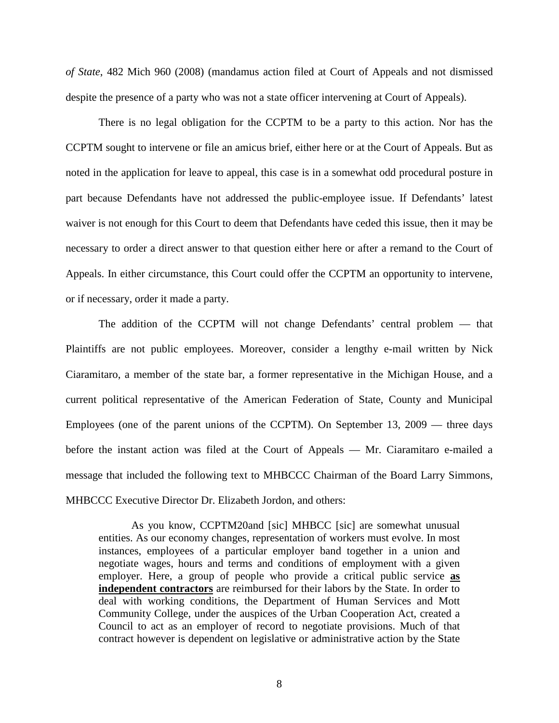*of State*, 482 Mich 960 (2008) (mandamus action filed at Court of Appeals and not dismissed despite the presence of a party who was not a state officer intervening at Court of Appeals).

There is no legal obligation for the CCPTM to be a party to this action. Nor has the CCPTM sought to intervene or file an amicus brief, either here or at the Court of Appeals. But as noted in the application for leave to appeal, this case is in a somewhat odd procedural posture in part because Defendants have not addressed the public-employee issue. If Defendants' latest waiver is not enough for this Court to deem that Defendants have ceded this issue, then it may be necessary to order a direct answer to that question either here or after a remand to the Court of Appeals. In either circumstance, this Court could offer the CCPTM an opportunity to intervene, or if necessary, order it made a party.

 The addition of the CCPTM will not change Defendants' central problem — that Plaintiffs are not public employees. Moreover, consider a lengthy e-mail written by Nick Ciaramitaro, a member of the state bar, a former representative in the Michigan House, and a current political representative of the American Federation of State, County and Municipal Employees (one of the parent unions of the CCPTM). On September 13, 2009 — three days before the instant action was filed at the Court of Appeals — Mr. Ciaramitaro e-mailed a message that included the following text to MHBCCC Chairman of the Board Larry Simmons, MHBCCC Executive Director Dr. Elizabeth Jordon, and others:

As you know, CCPTM20and [sic] MHBCC [sic] are somewhat unusual entities. As our economy changes, representation of workers must evolve. In most instances, employees of a particular employer band together in a union and negotiate wages, hours and terms and conditions of employment with a given employer. Here, a group of people who provide a critical public service **as independent contractors** are reimbursed for their labors by the State. In order to deal with working conditions, the Department of Human Services and Mott Community College, under the auspices of the Urban Cooperation Act, created a Council to act as an employer of record to negotiate provisions. Much of that contract however is dependent on legislative or administrative action by the State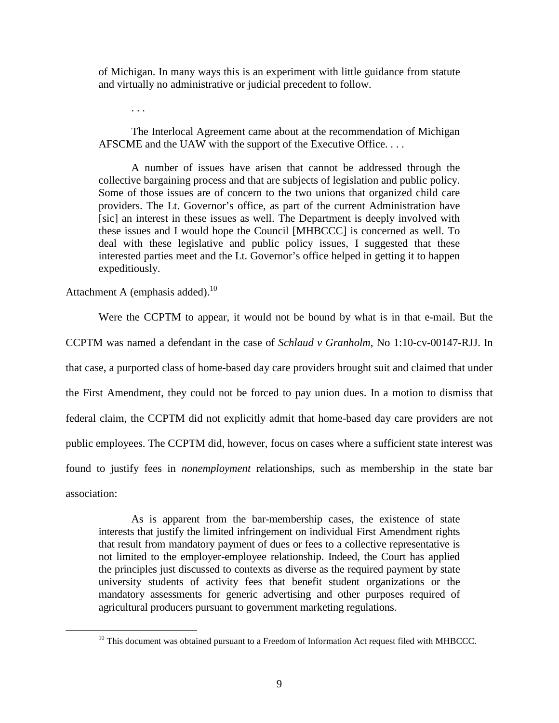of Michigan. In many ways this is an experiment with little guidance from statute and virtually no administrative or judicial precedent to follow.

. . .

The Interlocal Agreement came about at the recommendation of Michigan AFSCME and the UAW with the support of the Executive Office. . . .

A number of issues have arisen that cannot be addressed through the collective bargaining process and that are subjects of legislation and public policy. Some of those issues are of concern to the two unions that organized child care providers. The Lt. Governor's office, as part of the current Administration have [sic] an interest in these issues as well. The Department is deeply involved with these issues and I would hope the Council [MHBCCC] is concerned as well. To deal with these legislative and public policy issues, I suggested that these interested parties meet and the Lt. Governor's office helped in getting it to happen expeditiously.

Attachment A (emphasis added). $^{10}$ 

<u>.</u>

Were the CCPTM to appear, it would not be bound by what is in that e-mail. But the CCPTM was named a defendant in the case of *Schlaud v Granholm*, No 1:10-cv-00147-RJJ. In that case, a purported class of home-based day care providers brought suit and claimed that under the First Amendment, they could not be forced to pay union dues. In a motion to dismiss that federal claim, the CCPTM did not explicitly admit that home-based day care providers are not public employees. The CCPTM did, however, focus on cases where a sufficient state interest was found to justify fees in *nonemployment* relationships, such as membership in the state bar association:

As is apparent from the bar-membership cases, the existence of state interests that justify the limited infringement on individual First Amendment rights that result from mandatory payment of dues or fees to a collective representative is not limited to the employer-employee relationship. Indeed, the Court has applied the principles just discussed to contexts as diverse as the required payment by state university students of activity fees that benefit student organizations or the mandatory assessments for generic advertising and other purposes required of agricultural producers pursuant to government marketing regulations.

 $10$  This document was obtained pursuant to a Freedom of Information Act request filed with MHBCCC.